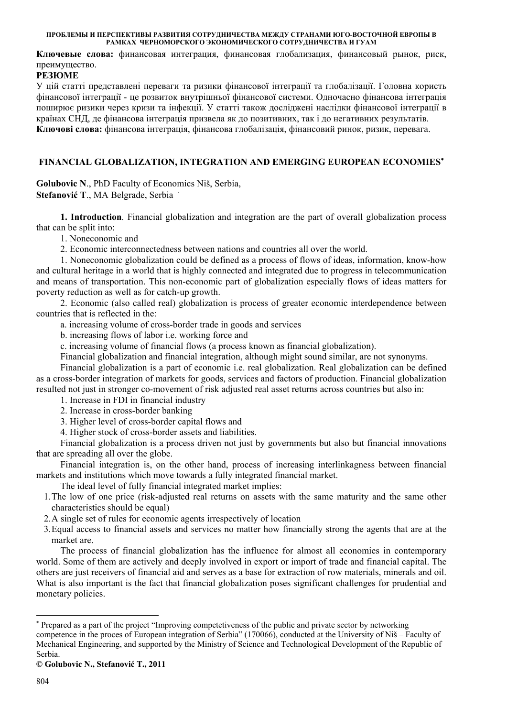**Ключевые слова:** финансовая интеграция, финансовая глобализация, финансовый рынок, риск, преимущество.

# **РЕЗЮМЕ**

У цій статті представлені переваги та ризики фінансової інтеграції та глобалізації. Головна користь фінансової інтеграції - це розвиток внутрішньої фінансової системи. Одночасно фінансова інтеграція поширює ризики через кризи та інфекції. У статті також досліджені наслідки фінансової інтеграції в країнах СНД, де фінансова інтеграція призвела як до позитивних, так і до негативних результатів. **Ключові слова:** фінансова інтеграція, фінансова глобалізація, фінансовий ринок, ризик, перевага.

# **FINANCIAL GLOBALIZATION, INTEGRATION AND EMERGING EUROPEAN ECONOMIES**<sup>∗</sup>

**Golubovic N**., PhD Faculty of Economics Niš, Serbia, **Stefanović T**., MA Belgrade, Serbia <sup>⋅</sup>

**1. Introduction**. Financial globalization and integration are the part of overall globalization process that can be split into:

1. Noneconomic and

2. Economic interconnectedness between nations and countries all over the world.

1. Noneconomic globalization could be defined as a process of flows of ideas, information, know-how and cultural heritage in a world that is highly connected and integrated due to progress in telecommunication and means of transportation. This non-economic part of globalization especially flows of ideas matters for poverty reduction as well as for catch-up growth.

2. Economic (also called real) globalization is process of greater economic interdependence between countries that is reflected in the:

a. increasing volume of cross-border trade in goods and services

b. increasing flows of labor i.e. working force and

c. increasing volume of financial flows (a process known as financial globalization).

Financial globalization and financial integration, although might sound similar, are not synonyms.

Financial globalization is a part of economic i.e. real globalization. Real globalization can be defined as a cross-border integration of markets for goods, services and factors of production. Financial globalization resulted not just in stronger co-movement of risk adjusted real asset returns across countries but also in:

1. Increase in FDI in financial industry

2. Increase in cross-border banking

3. Higher level of cross-border capital flows and

4. Higher stock of cross-border assets and liabilities.

Financial globalization is a process driven not just by governments but also but financial innovations that are spreading all over the globe.

Financial integration is, on the other hand, process of increasing interlinkagness between financial markets and institutions which move towards a fully integrated financial market.

The ideal level of fully financial integrated market implies:

1.The low of one price (risk-adjusted real returns on assets with the same maturity and the same other characteristics should be equal)

2.A single set of rules for economic agents irrespectively of location

3.Equal access to financial assets and services no matter how financially strong the agents that are at the market are.

The process of financial globalization has the influence for almost all economies in contemporary world. Some of them are actively and deeply involved in export or import of trade and financial capital. The others are just receivers of financial aid and serves as a base for extraction of row materials, minerals and oil. What is also important is the fact that financial globalization poses significant challenges for prudential and monetary policies.

**© Golubovic N., Stefanović T., 2011**

<sup>∗</sup> Prepared as a part of the project "Improving competetiveness of the public and private sector by networking competence in the proces of European integration of Serbia" (170066), conducted at the University of Niš – Faculty of Mechanical Engineering, and supported by the Ministry of Science and Technological Development of the Republic of Serbia.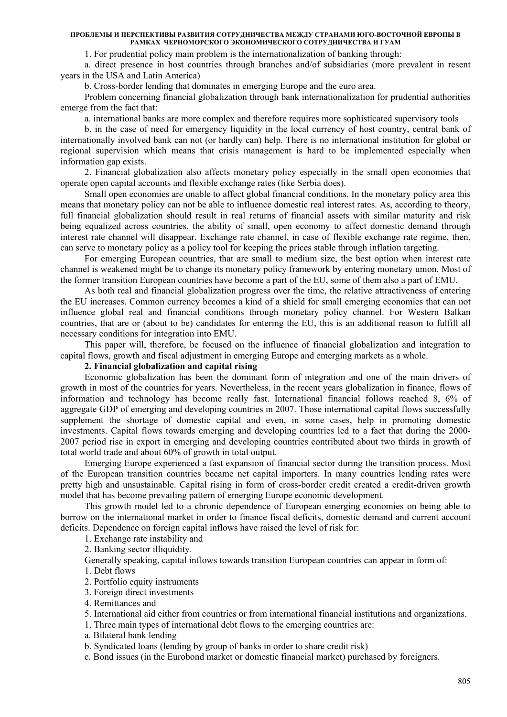1. For prudential policy main problem is the internationalization of banking through:

a. direct presence in host countries through branches and/of subsidiaries (more prevalent in resent years in the USA and Latin America)

b. Cross-border lending that dominates in emerging Europe and the euro area.

Problem concerning financial globalization through bank internationalization for prudential authorities emerge from the fact that:

a. international banks are more complex and therefore requires more sophisticated supervisory tools

b. in the case of need for emergency liquidity in the local currency of host country, central bank of internationally involved bank can not (or hardly can) help. There is no international institution for global or regional supervision which means that crisis management is hard to be implemented especially when information gap exists.

2. Financial globalization also affects monetary policy especially in the small open economies that operate open capital accounts and flexible exchange rates (like Serbia does).

Small open economies are unable to affect global financial conditions. In the monetary policy area this means that monetary policy can not be able to influence domestic real interest rates. As, according to theory, full financial globalization should result in real returns of financial assets with similar maturity and risk being equalized across countries, the ability of small, open economy to affect domestic demand through interest rate channel will disappear. Exchange rate channel, in case of flexible exchange rate regime, then, can serve to monetary policy as a policy tool for keeping the prices stable through inflation targeting.

For emerging European countries, that are small to medium size, the best option when interest rate channel is weakened might be to change its monetary policy framework by entering monetary union. Most of the former transition European countries have become a part of the EU, some of them also a part of EMU.

As both real and financial globalization progress over the time, the relative attractiveness of entering the EU increases. Common currency becomes a kind of a shield for small emerging economies that can not influence global real and financial conditions through monetary policy channel. For Western Balkan countries, that are or (about to be) candidates for entering the EU, this is an additional reason to fulfill all necessary conditions for integration into EMU.

This paper will, therefore, be focused on the influence of financial globalization and integration to capital flows, growth and fiscal adjustment in emerging Europe and emerging markets as a whole.

### **2. Financial globalization and capital rising**

Economic globalization has been the dominant form of integration and one of the main drivers of growth in most of the countries for years. Nevertheless, in the recent years globalization in finance, flows of information and technology has become really fast. International financial follows reached 8, 6% of aggregate GDP of emerging and developing countries in 2007. Those international capital flows successfully supplement the shortage of domestic capital and even, in some cases, help in promoting domestic investments. Capital flows towards emerging and developing countries led to a fact that during the 2000- 2007 period rise in export in emerging and developing countries contributed about two thirds in growth of total world trade and about 60% of growth in total output.

Emerging Europe experienced a fast expansion of financial sector during the transition process. Most of the European transition countries became net capital importers. In many countries lending rates were pretty high and unsustainable. Capital rising in form of cross-border credit created a credit-driven growth model that has become prevailing pattern of emerging Europe economic development.

This growth model led to a chronic dependence of European emerging economies on being able to borrow on the international market in order to finance fiscal deficits, domestic demand and current account deficits. Dependence on foreign capital inflows have raised the level of risk for:

1. Exchange rate instability and

2. Banking sector illiquidity.

Generally speaking, capital inflows towards transition European countries can appear in form of:

1. Debt flows

- 2. Portfolio equity instruments
- 3. Foreign direct investments
- 4. Remittances and
- 5. International aid either from countries or from international financial institutions and organizations.
- 1. Three main types of international debt flows to the emerging countries are:
- a. Bilateral bank lending
- b. Syndicated loans (lending by group of banks in order to share credit risk)
- c. Bond issues (in the Eurobond market or domestic financial market) purchased by foreigners.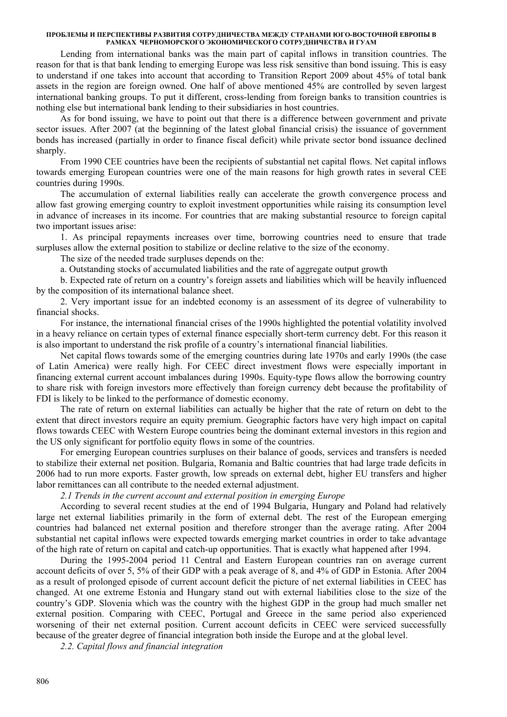Lending from international banks was the main part of capital inflows in transition countries. The reason for that is that bank lending to emerging Europe was less risk sensitive than bond issuing. This is easy to understand if one takes into account that according to Transition Report 2009 about 45% of total bank assets in the region are foreign owned. One half of above mentioned 45% are controlled by seven largest international banking groups. To put it different, cross-lending from foreign banks to transition countries is nothing else but international bank lending to their subsidiaries in host countries.

As for bond issuing, we have to point out that there is a difference between government and private sector issues. After 2007 (at the beginning of the latest global financial crisis) the issuance of government bonds has increased (partially in order to finance fiscal deficit) while private sector bond issuance declined sharply.

From 1990 CEE countries have been the recipients of substantial net capital flows. Net capital inflows towards emerging European countries were one of the main reasons for high growth rates in several CEE countries during 1990s.

The accumulation of external liabilities really can accelerate the growth convergence process and allow fast growing emerging country to exploit investment opportunities while raising its consumption level in advance of increases in its income. For countries that are making substantial resource to foreign capital two important issues arise:

1. As principal repayments increases over time, borrowing countries need to ensure that trade surpluses allow the external position to stabilize or decline relative to the size of the economy.

The size of the needed trade surpluses depends on the:

a. Outstanding stocks of accumulated liabilities and the rate of aggregate output growth

b. Expected rate of return on a country's foreign assets and liabilities which will be heavily influenced by the composition of its international balance sheet.

2. Very important issue for an indebted economy is an assessment of its degree of vulnerability to financial shocks.

For instance, the international financial crises of the 1990s highlighted the potential volatility involved in a heavy reliance on certain types of external finance especially short-term currency debt. For this reason it is also important to understand the risk profile of a country's international financial liabilities.

Net capital flows towards some of the emerging countries during late 1970s and early 1990s (the case of Latin America) were really high. For CEEC direct investment flows were especially important in financing external current account imbalances during 1990s. Equity-type flows allow the borrowing country to share risk with foreign investors more effectively than foreign currency debt because the profitability of FDI is likely to be linked to the performance of domestic economy.

The rate of return on external liabilities can actually be higher that the rate of return on debt to the extent that direct investors require an equity premium. Geographic factors have very high impact on capital flows towards CEEC with Western Europe countries being the dominant external investors in this region and the US only significant for portfolio equity flows in some of the countries.

For emerging European countries surpluses on their balance of goods, services and transfers is needed to stabilize their external net position. Bulgaria, Romania and Baltic countries that had large trade deficits in 2006 had to run more exports. Faster growth, low spreads on external debt, higher EU transfers and higher labor remittances can all contribute to the needed external adjustment.

*2.1 Trends in the current account and external position in emerging Europe* 

According to several recent studies at the end of 1994 Bulgaria, Hungary and Poland had relatively large net external liabilities primarily in the form of external debt. The rest of the European emerging countries had balanced net external position and therefore stronger than the average rating. After 2004 substantial net capital inflows were expected towards emerging market countries in order to take advantage of the high rate of return on capital and catch-up opportunities. That is exactly what happened after 1994.

During the 1995-2004 period 11 Central and Eastern European countries ran on average current account deficits of over 5, 5% of their GDP with a peak average of 8, and 4% of GDP in Estonia. After 2004 as a result of prolonged episode of current account deficit the picture of net external liabilities in CEEC has changed. At one extreme Estonia and Hungary stand out with external liabilities close to the size of the country's GDP. Slovenia which was the country with the highest GDP in the group had much smaller net external position. Comparing with CEEC, Portugal and Greece in the same period also experienced worsening of their net external position. Current account deficits in CEEC were serviced successfully because of the greater degree of financial integration both inside the Europe and at the global level.

*2.2. Capital flows and financial integration*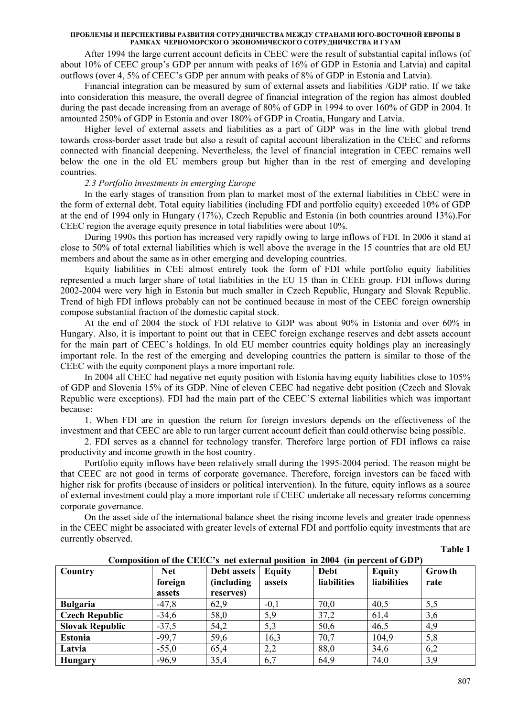After 1994 the large current account deficits in CEEC were the result of substantial capital inflows (of about 10% of CEEC group's GDP per annum with peaks of 16% of GDP in Estonia and Latvia) and capital outflows (over 4, 5% of CEEC's GDP per annum with peaks of 8% of GDP in Estonia and Latvia).

Financial integration can be measured by sum of external assets and liabilities /GDP ratio. If we take into consideration this measure, the overall degree of financial integration of the region has almost doubled during the past decade increasing from an average of 80% of GDP in 1994 to over 160% of GDP in 2004. It amounted 250% of GDP in Estonia and over 180% of GDP in Croatia, Hungary and Latvia.

Higher level of external assets and liabilities as a part of GDP was in the line with global trend towards cross-border asset trade but also a result of capital account liberalization in the CEEC and reforms connected with financial deepening. Nevertheless, the level of financial integration in CEEC remains well below the one in the old EU members group but higher than in the rest of emerging and developing countries.

# *2.3 Portfolio investments in emerging Europe*

In the early stages of transition from plan to market most of the external liabilities in CEEC were in the form of external debt. Total equity liabilities (including FDI and portfolio equity) exceeded 10% of GDP at the end of 1994 only in Hungary (17%), Czech Republic and Estonia (in both countries around 13%).For CEEC region the average equity presence in total liabilities were about 10%.

During 1990s this portion has increased very rapidly owing to large inflows of FDI. In 2006 it stand at close to 50% of total external liabilities which is well above the average in the 15 countries that are old EU members and about the same as in other emerging and developing countries.

Equity liabilities in CEE almost entirely took the form of FDI while portfolio equity liabilities represented a much larger share of total liabilities in the EU 15 than in CEEE group. FDI inflows during 2002-2004 were very high in Estonia but much smaller in Czech Republic, Hungary and Slovak Republic. Trend of high FDI inflows probably can not be continued because in most of the CEEC foreign ownership compose substantial fraction of the domestic capital stock.

At the end of 2004 the stock of FDI relative to GDP was about 90% in Estonia and over 60% in Hungary. Also, it is important to point out that in CEEC foreign exchange reserves and debt assets account for the main part of CEEC's holdings. In old EU member countries equity holdings play an increasingly important role. In the rest of the emerging and developing countries the pattern is similar to those of the CEEC with the equity component plays a more important role.

In 2004 all CEEC had negative net equity position with Estonia having equity liabilities close to 105% of GDP and Slovenia 15% of its GDP. Nine of eleven CEEC had negative debt position (Czech and Slovak Republic were exceptions). FDI had the main part of the CEEC'S external liabilities which was important because:

1. When FDI are in question the return for foreign investors depends on the effectiveness of the investment and that CEEC are able to run larger current account deficit than could otherwise being possible.

2. FDI serves as a channel for technology transfer. Therefore large portion of FDI inflows ca raise productivity and income growth in the host country.

Portfolio equity inflows have been relatively small during the 1995-2004 period. The reason might be that CEEC are not good in terms of corporate governance. Therefore, foreign investors can be faced with higher risk for profits (because of insiders or political intervention). In the future, equity inflows as a source of external investment could play a more important role if CEEC undertake all necessary reforms concerning corporate governance.

On the asset side of the international balance sheet the rising income levels and greater trade openness in the CEEC might be associated with greater levels of external FDI and portfolio equity investments that are currently observed.

### **Table 1**

| Country                | <b>Net</b><br>foreign<br>assets | Debt assets<br><i>(including)</i><br>reserves) | Equity<br>assets | Debt<br>liabilities | <b>Equity</b><br><b>liabilities</b> | Growth<br>rate |
|------------------------|---------------------------------|------------------------------------------------|------------------|---------------------|-------------------------------------|----------------|
| <b>Bulgaria</b>        | $-47,8$                         | 62,9                                           | $-0,1$           | 70,0                | 40,5                                | 5,5            |
| <b>Czech Republic</b>  | $-34,6$                         | 58,0                                           | 5,9              | 37,2                | 61,4                                | 3,6            |
| <b>Slovak Republic</b> | $-37,5$                         | 54,2                                           | 5,3              | 50,6                | 46,5                                | 4,9            |
| <b>Estonia</b>         | $-99,7$                         | 59,6                                           | 16,3             | 70,7                | 104,9                               | 5,8            |
| Latvia                 | $-55,0$                         | 65,4                                           | 2,2              | 88,0                | 34,6                                | 6,2            |
| Hungary                | $-96,9$                         | 35,4                                           | 6,7              | 64,9                | 74,0                                | 3,9            |

### **Composition of the CEEC's net external position in 2004 (in percent of GDP)**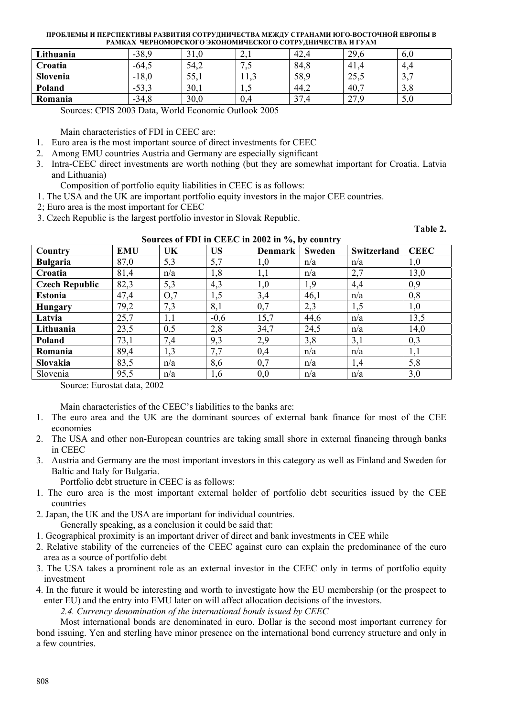| Lithuania | $-38,9$ | 21<br>ЭĪ | $\sim$ .1      | 42,4                 | 29,6                   | v.v              |
|-----------|---------|----------|----------------|----------------------|------------------------|------------------|
| Croatia   | $-64,5$ | 54,2     | ں ۔            | 84,8                 | 41,4                   | -4.4             |
| Slovenia  | $-18,0$ | 55,1     |                | 58,9                 | 25,5                   | $\sim$<br>-<br>◡ |
| Poland    | $-53,$  | 30,1     | $\overline{1}$ | 44,2                 | 40,7                   | ◠<br>3.0         |
| Romania   | $-34.8$ | 30,0     | 0,4            | 37.<br>$^{\prime}.4$ | 27 Q<br>$\overline{a}$ | 5,0              |

Sources: CPIS 2003 Data, World Economic Outlook 2005

Main characteristics of FDI in CEEC are:

- 1. Euro area is the most important source of direct investments for CEEC
- 2. Among EMU countries Austria and Germany are especially significant
- 3. Intra-CEEC direct investments are worth nothing (but they are somewhat important for Croatia. Latvia and Lithuania)

Composition of portfolio equity liabilities in CEEC is as follows:

- 1. The USA and the UK are important portfolio equity investors in the major CEE countries.
- 2; Euro area is the most important for CEEC
- 3. Czech Republic is the largest portfolio investor in Slovak Republic.

**Table 2.** 

| Sources of FDI in CEEC in 2002 in %, by country |            |     |           |                |               |             |             |
|-------------------------------------------------|------------|-----|-----------|----------------|---------------|-------------|-------------|
| Country                                         | <b>EMU</b> | UK  | <b>US</b> | <b>Denmark</b> | <b>Sweden</b> | Switzerland | <b>CEEC</b> |
| <b>Bulgaria</b>                                 | 87,0       | 5,3 | 5,7       | 1,0            | n/a           | n/a         | 1,0         |
| Croatia                                         | 81,4       | n/a | 1,8       | 1,1            | n/a           | 2,7         | 13,0        |
| <b>Czech Republic</b>                           | 82,3       | 5,3 | 4,3       | 1,0            | 1,9           | 4,4         | 0,9         |
| <b>Estonia</b>                                  | 47,4       | O,7 | 1,5       | 3,4            | 46,1          | n/a         | 0,8         |
| <b>Hungary</b>                                  | 79,2       | 7,3 | 8,1       | 0,7            | 2,3           | 1,5         | 1,0         |
| Latvia                                          | 25,7       | 1,1 | $-0,6$    | 15,7           | 44,6          | n/a         | 13,5        |
| Lithuania                                       | 23,5       | 0,5 | 2,8       | 34,7           | 24,5          | n/a         | 14,0        |
| Poland                                          | 73,1       | 7,4 | 9,3       | 2,9            | 3,8           | 3,1         | 0,3         |
| Romania                                         | 89,4       | 1,3 | 7,7       | 0,4            | n/a           | n/a         | 1,1         |
| <b>Slovakia</b>                                 | 83,5       | n/a | 8,6       | 0,7            | n/a           | 1,4         | 5,8         |
| Slovenia                                        | 95,5       | n/a | 1,6       | 0,0            | n/a           | n/a         | 3,0         |

Source: Eurostat data, 2002

Main characteristics of the CEEC's liabilities to the banks are:

- 1. The euro area and the UK are the dominant sources of external bank finance for most of the CEE economies
- 2. The USA and other non-European countries are taking small shore in external financing through banks in CEEC
- 3. Austria and Germany are the most important investors in this category as well as Finland and Sweden for Baltic and Italy for Bulgaria.

Portfolio debt structure in CEEC is as follows:

- 1. The euro area is the most important external holder of portfolio debt securities issued by the CEE countries
- 2. Japan, the UK and the USA are important for individual countries.

Generally speaking, as a conclusion it could be said that:

- 1. Geographical proximity is an important driver of direct and bank investments in CEE while
- 2. Relative stability of the currencies of the CEEC against euro can explain the predominance of the euro area as a source of portfolio debt
- 3. The USA takes a prominent role as an external investor in the CEEC only in terms of portfolio equity investment
- 4. In the future it would be interesting and worth to investigate how the EU membership (or the prospect to enter EU) and the entry into EMU later on will affect allocation decisions of the investors.

*2.4. Currency denomination of the international bonds issued by CEEC* 

Most international bonds are denominated in euro. Dollar is the second most important currency for bond issuing. Yen and sterling have minor presence on the international bond currency structure and only in a few countries.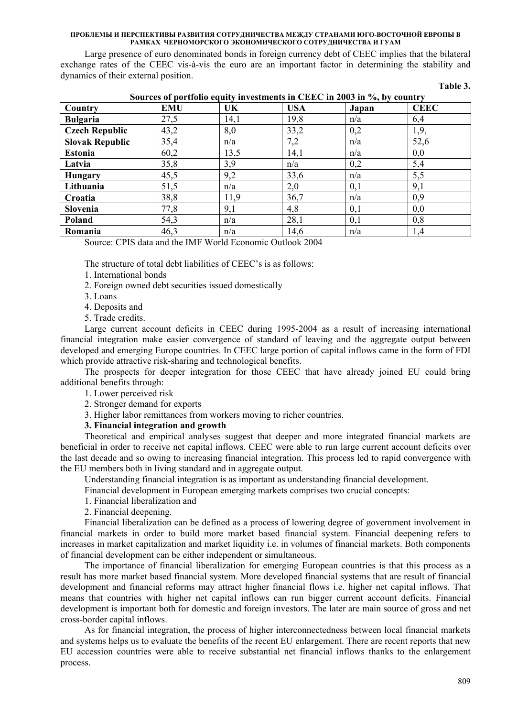Large presence of euro denominated bonds in foreign currency debt of CEEC implies that the bilateral exchange rates of the CEEC vis-à-vis the euro are an important factor in determining the stability and dynamics of their external position.

| anıe |  |
|------|--|
|      |  |

| Sources of portfolio equity investments in CEEC in 2003 in %, by country |            |      |            |       |             |  |
|--------------------------------------------------------------------------|------------|------|------------|-------|-------------|--|
| Country                                                                  | <b>EMU</b> | UK.  | <b>USA</b> | Japan | <b>CEEC</b> |  |
| <b>Bulgaria</b>                                                          | 27,5       | 14,1 | 19,8       | n/a   | 6,4         |  |
| <b>Czech Republic</b>                                                    | 43,2       | 8,0  | 33,2       | 0,2   | 1,9,        |  |
| <b>Slovak Republic</b>                                                   | 35,4       | n/a  | 7,2        | n/a   | 52,6        |  |
| <b>Estonia</b>                                                           | 60,2       | 13,5 | 14,1       | n/a   | 0,0         |  |
| Latvia                                                                   | 35,8       | 3,9  | n/a        | 0,2   | 5,4         |  |
| <b>Hungary</b>                                                           | 45,5       | 9,2  | 33,6       | n/a   | 5,5         |  |
| Lithuania                                                                | 51,5       | n/a  | 2,0        | 0,1   | 9,1         |  |
| Croatia                                                                  | 38,8       | 11,9 | 36,7       | n/a   | 0,9         |  |
| Slovenia                                                                 | 77,8       | 9,1  | 4,8        | 0,1   | 0,0         |  |
| Poland                                                                   | 54,3       | n/a  | 28,1       | 0,1   | 0,8         |  |
| Romania                                                                  | 46,3       | n/a  | 14,6       | n/a   | 1,4         |  |

# $\mathbf{S}$  **Sources of portfolio equity in 2003 in 2003 in 2003 in 2003 i**

Source: CPIS data and the IMF World Economic Outlook 2004

The structure of total debt liabilities of CEEC's is as follows:

- 1. International bonds
- 2. Foreign owned debt securities issued domestically
- 3. Loans
- 4. Deposits and
- 5. Trade credits.

Large current account deficits in CEEC during 1995-2004 as a result of increasing international financial integration make easier convergence of standard of leaving and the aggregate output between developed and emerging Europe countries. In CEEC large portion of capital inflows came in the form of FDI which provide attractive risk-sharing and technological benefits.

The prospects for deeper integration for those CEEC that have already joined EU could bring additional benefits through:

- 1. Lower perceived risk
- 2. Stronger demand for exports

3. Higher labor remittances from workers moving to richer countries.

### **3. Financial integration and growth**

Theoretical and empirical analyses suggest that deeper and more integrated financial markets are beneficial in order to receive net capital inflows. CEEC were able to run large current account deficits over the last decade and so owing to increasing financial integration. This process led to rapid convergence with the EU members both in living standard and in aggregate output.

Understanding financial integration is as important as understanding financial development.

Financial development in European emerging markets comprises two crucial concepts:

- 1. Financial liberalization and
- 2. Financial deepening.

Financial liberalization can be defined as a process of lowering degree of government involvement in financial markets in order to build more market based financial system. Financial deepening refers to increases in market capitalization and market liquidity i.e. in volumes of financial markets. Both components of financial development can be either independent or simultaneous.

The importance of financial liberalization for emerging European countries is that this process as a result has more market based financial system. More developed financial systems that are result of financial development and financial reforms may attract higher financial flows i.e. higher net capital inflows. That means that countries with higher net capital inflows can run bigger current account deficits. Financial development is important both for domestic and foreign investors. The later are main source of gross and net cross-border capital inflows.

As for financial integration, the process of higher interconnectedness between local financial markets and systems helps us to evaluate the benefits of the recent EU enlargement. There are recent reports that new EU accession countries were able to receive substantial net financial inflows thanks to the enlargement process.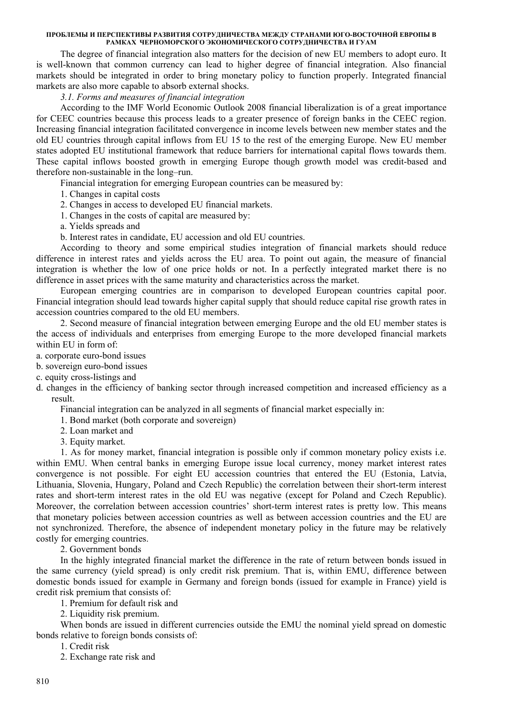The degree of financial integration also matters for the decision of new EU members to adopt euro. It is well-known that common currency can lead to higher degree of financial integration. Also financial markets should be integrated in order to bring monetary policy to function properly. Integrated financial markets are also more capable to absorb external shocks.

### *3.1. Forms and measures of financial integration*

According to the IMF World Economic Outlook 2008 financial liberalization is of a great importance for CEEC countries because this process leads to a greater presence of foreign banks in the CEEC region. Increasing financial integration facilitated convergence in income levels between new member states and the old EU countries through capital inflows from EU 15 to the rest of the emerging Europe. New EU member states adopted EU institutional framework that reduce barriers for international capital flows towards them. These capital inflows boosted growth in emerging Europe though growth model was credit-based and therefore non-sustainable in the long–run.

Financial integration for emerging European countries can be measured by:

1. Changes in capital costs

2. Changes in access to developed EU financial markets.

1. Changes in the costs of capital are measured by:

a. Yields spreads and

b. Interest rates in candidate, EU accession and old EU countries.

According to theory and some empirical studies integration of financial markets should reduce difference in interest rates and yields across the EU area. To point out again, the measure of financial integration is whether the low of one price holds or not. In a perfectly integrated market there is no difference in asset prices with the same maturity and characteristics across the market.

European emerging countries are in comparison to developed European countries capital poor. Financial integration should lead towards higher capital supply that should reduce capital rise growth rates in accession countries compared to the old EU members.

2. Second measure of financial integration between emerging Europe and the old EU member states is the access of individuals and enterprises from emerging Europe to the more developed financial markets within EU in form of:

a. corporate euro-bond issues

b. sovereign euro-bond issues

c. equity cross-listings and

d. changes in the efficiency of banking sector through increased competition and increased efficiency as a result.

Financial integration can be analyzed in all segments of financial market especially in:

1. Bond market (both corporate and sovereign)

2. Loan market and

3. Equity market.

1. As for money market, financial integration is possible only if common monetary policy exists i.e. within EMU. When central banks in emerging Europe issue local currency, money market interest rates convergence is not possible. For eight EU accession countries that entered the EU (Estonia, Latvia, Lithuania, Slovenia, Hungary, Poland and Czech Republic) the correlation between their short-term interest rates and short-term interest rates in the old EU was negative (except for Poland and Czech Republic). Moreover, the correlation between accession countries' short-term interest rates is pretty low. This means that monetary policies between accession countries as well as between accession countries and the EU are not synchronized. Therefore, the absence of independent monetary policy in the future may be relatively costly for emerging countries.

2. Government bonds

In the highly integrated financial market the difference in the rate of return between bonds issued in the same currency (yield spread) is only credit risk premium. That is, within EMU, difference between domestic bonds issued for example in Germany and foreign bonds (issued for example in France) yield is credit risk premium that consists of:

1. Premium for default risk and

2. Liquidity risk premium.

When bonds are issued in different currencies outside the EMU the nominal yield spread on domestic bonds relative to foreign bonds consists of:

1. Credit risk

2. Exchange rate risk and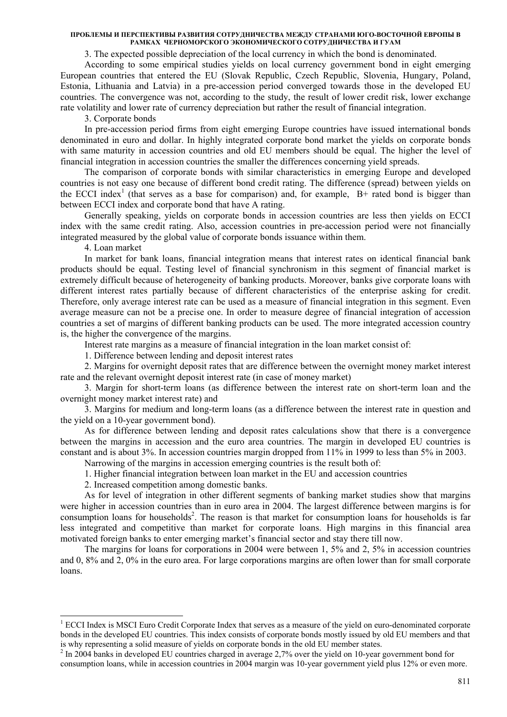3. The expected possible depreciation of the local currency in which the bond is denominated.

According to some empirical studies yields on local currency government bond in eight emerging European countries that entered the EU (Slovak Republic, Czech Republic, Slovenia, Hungary, Poland, Estonia, Lithuania and Latvia) in a pre-accession period converged towards those in the developed EU countries. The convergence was not, according to the study, the result of lower credit risk, lower exchange rate volatility and lower rate of currency depreciation but rather the result of financial integration.

3. Corporate bonds

In pre-accession period firms from eight emerging Europe countries have issued international bonds denominated in euro and dollar. In highly integrated corporate bond market the yields on corporate bonds with same maturity in accession countries and old EU members should be equal. The higher the level of financial integration in accession countries the smaller the differences concerning yield spreads.

The comparison of corporate bonds with similar characteristics in emerging Europe and developed countries is not easy one because of different bond credit rating. The difference (spread) between yields on the ECCI index<sup>1</sup> (that serves as a base for comparison) and, for example,  $B+$  rated bond is bigger than between ECCI index and corporate bond that have A rating.

Generally speaking, yields on corporate bonds in accession countries are less then yields on ECCI index with the same credit rating. Also, accession countries in pre-accession period were not financially integrated measured by the global value of corporate bonds issuance within them.

4. Loan market

-

In market for bank loans, financial integration means that interest rates on identical financial bank products should be equal. Testing level of financial synchronism in this segment of financial market is extremely difficult because of heterogeneity of banking products. Moreover, banks give corporate loans with different interest rates partially because of different characteristics of the enterprise asking for credit. Therefore, only average interest rate can be used as a measure of financial integration in this segment. Even average measure can not be a precise one. In order to measure degree of financial integration of accession countries a set of margins of different banking products can be used. The more integrated accession country is, the higher the convergence of the margins.

Interest rate margins as a measure of financial integration in the loan market consist of:

1. Difference between lending and deposit interest rates

2. Margins for overnight deposit rates that are difference between the overnight money market interest rate and the relevant overnight deposit interest rate (in case of money market)

3. Margin for short-term loans (as difference between the interest rate on short-term loan and the overnight money market interest rate) and

3. Margins for medium and long-term loans (as a difference between the interest rate in question and the yield on a 10-year government bond).

As for difference between lending and deposit rates calculations show that there is a convergence between the margins in accession and the euro area countries. The margin in developed EU countries is constant and is about 3%. In accession countries margin dropped from 11% in 1999 to less than 5% in 2003.

Narrowing of the margins in accession emerging countries is the result both of:

1. Higher financial integration between loan market in the EU and accession countries

2. Increased competition among domestic banks.

As for level of integration in other different segments of banking market studies show that margins were higher in accession countries than in euro area in 2004. The largest difference between margins is for consumption loans for households<sup>2</sup>. The reason is that market for consumption loans for households is far less integrated and competitive than market for corporate loans. High margins in this financial area motivated foreign banks to enter emerging market's financial sector and stay there till now.

The margins for loans for corporations in 2004 were between 1, 5% and 2, 5% in accession countries and 0, 8% and 2, 0% in the euro area. For large corporations margins are often lower than for small corporate loans.

<sup>&</sup>lt;sup>1</sup> ECCI Index is MSCI Euro Credit Corporate Index that serves as a measure of the yield on euro-denominated corporate bonds in the developed EU countries. This index consists of corporate bonds mostly issued by old EU members and that is why representing a solid measure of yields on corporate bonds in the old EU member states. 2

<sup>&</sup>lt;sup>2</sup> In 2004 banks in developed EU countries charged in average 2,7% over the yield on 10-year government bond for consumption loans, while in accession countries in 2004 margin was 10-year government yield plus 12% or even more.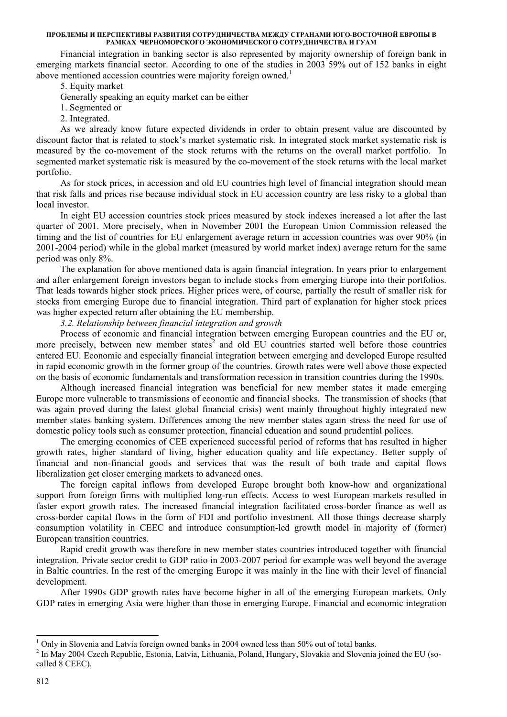Financial integration in banking sector is also represented by majority ownership of foreign bank in emerging markets financial sector. According to one of the studies in 2003 59% out of 152 banks in eight above mentioned accession countries were majority foreign owned.<sup>1</sup>

5. Equity market

Generally speaking an equity market can be either

1. Segmented or

2. Integrated.

As we already know future expected dividends in order to obtain present value are discounted by discount factor that is related to stock's market systematic risk. In integrated stock market systematic risk is measured by the co-movement of the stock returns with the returns on the overall market portfolio. In segmented market systematic risk is measured by the co-movement of the stock returns with the local market portfolio.

As for stock prices, in accession and old EU countries high level of financial integration should mean that risk falls and prices rise because individual stock in EU accession country are less risky to a global than local investor.

In eight EU accession countries stock prices measured by stock indexes increased a lot after the last quarter of 2001. More precisely, when in November 2001 the European Union Commission released the timing and the list of countries for EU enlargement average return in accession countries was over 90% (in 2001-2004 period) while in the global market (measured by world market index) average return for the same period was only 8%.

The explanation for above mentioned data is again financial integration. In years prior to enlargement and after enlargement foreign investors began to include stocks from emerging Europe into their portfolios. That leads towards higher stock prices. Higher prices were, of course, partially the result of smaller risk for stocks from emerging Europe due to financial integration. Third part of explanation for higher stock prices was higher expected return after obtaining the EU membership.

*3.2. Relationship between financial integration and growth* 

Process of economic and financial integration between emerging European countries and the EU or, more precisely, between new member states<sup>2</sup> and old EU countries started well before those countries entered EU. Economic and especially financial integration between emerging and developed Europe resulted in rapid economic growth in the former group of the countries. Growth rates were well above those expected on the basis of economic fundamentals and transformation recession in transition countries during the 1990s.

Although increased financial integration was beneficial for new member states it made emerging Europe more vulnerable to transmissions of economic and financial shocks. The transmission of shocks (that was again proved during the latest global financial crisis) went mainly throughout highly integrated new member states banking system. Differences among the new member states again stress the need for use of domestic policy tools such as consumer protection, financial education and sound prudential polices.

The emerging economies of CEE experienced successful period of reforms that has resulted in higher growth rates, higher standard of living, higher education quality and life expectancy. Better supply of financial and non-financial goods and services that was the result of both trade and capital flows liberalization get closer emerging markets to advanced ones.

The foreign capital inflows from developed Europe brought both know-how and organizational support from foreign firms with multiplied long-run effects. Access to west European markets resulted in faster export growth rates. The increased financial integration facilitated cross-border finance as well as cross-border capital flows in the form of FDI and portfolio investment. All those things decrease sharply consumption volatility in CEEC and introduce consumption-led growth model in majority of (former) European transition countries.

Rapid credit growth was therefore in new member states countries introduced together with financial integration. Private sector credit to GDP ratio in 2003-2007 period for example was well beyond the average in Baltic countries. In the rest of the emerging Europe it was mainly in the line with their level of financial development.

After 1990s GDP growth rates have become higher in all of the emerging European markets. Only GDP rates in emerging Asia were higher than those in emerging Europe. Financial and economic integration

<sup>&</sup>lt;sup>1</sup> Only in Slovenia and Latvia foreign owned banks in 2004 owned less than 50% out of total banks.

<sup>&</sup>lt;sup>2</sup> In May 2004 Czech Republic, Estonia, Latvia, Lithuania, Poland, Hungary, Slovakia and Slovenia joined the EU (socalled 8 CEEC).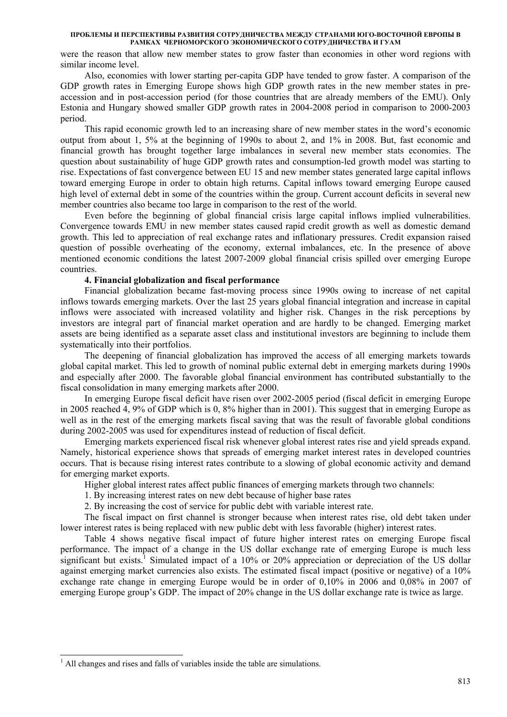were the reason that allow new member states to grow faster than economies in other word regions with similar income level.

Also, economies with lower starting per-capita GDP have tended to grow faster. A comparison of the GDP growth rates in Emerging Europe shows high GDP growth rates in the new member states in preaccession and in post-accession period (for those countries that are already members of the EMU). Only Estonia and Hungary showed smaller GDP growth rates in 2004-2008 period in comparison to 2000-2003 period.

This rapid economic growth led to an increasing share of new member states in the word's economic output from about 1, 5% at the beginning of 1990s to about 2, and 1% in 2008. But, fast economic and financial growth has brought together large imbalances in several new member stats economies. The question about sustainability of huge GDP growth rates and consumption-led growth model was starting to rise. Expectations of fast convergence between EU 15 and new member states generated large capital inflows toward emerging Europe in order to obtain high returns. Capital inflows toward emerging Europe caused high level of external debt in some of the countries within the group. Current account deficits in several new member countries also became too large in comparison to the rest of the world.

Even before the beginning of global financial crisis large capital inflows implied vulnerabilities. Convergence towards EMU in new member states caused rapid credit growth as well as domestic demand growth. This led to appreciation of real exchange rates and inflationary pressures. Credit expansion raised question of possible overheating of the economy, external imbalances, etc. In the presence of above mentioned economic conditions the latest 2007-2009 global financial crisis spilled over emerging Europe countries.

### **4. Financial globalization and fiscal performance**

Financial globalization became fast-moving process since 1990s owing to increase of net capital inflows towards emerging markets. Over the last 25 years global financial integration and increase in capital inflows were associated with increased volatility and higher risk. Changes in the risk perceptions by investors are integral part of financial market operation and are hardly to be changed. Emerging market assets are being identified as a separate asset class and institutional investors are beginning to include them systematically into their portfolios.

The deepening of financial globalization has improved the access of all emerging markets towards global capital market. This led to growth of nominal public external debt in emerging markets during 1990s and especially after 2000. The favorable global financial environment has contributed substantially to the fiscal consolidation in many emerging markets after 2000.

In emerging Europe fiscal deficit have risen over 2002-2005 period (fiscal deficit in emerging Europe in 2005 reached 4, 9% of GDP which is 0, 8% higher than in 2001). This suggest that in emerging Europe as well as in the rest of the emerging markets fiscal saving that was the result of favorable global conditions during 2002-2005 was used for expenditures instead of reduction of fiscal deficit.

Emerging markets experienced fiscal risk whenever global interest rates rise and yield spreads expand. Namely, historical experience shows that spreads of emerging market interest rates in developed countries occurs. That is because rising interest rates contribute to a slowing of global economic activity and demand for emerging market exports.

Higher global interest rates affect public finances of emerging markets through two channels:

1. By increasing interest rates on new debt because of higher base rates

2. By increasing the cost of service for public debt with variable interest rate.

The fiscal impact on first channel is stronger because when interest rates rise, old debt taken under lower interest rates is being replaced with new public debt with less favorable (higher) interest rates.

Table 4 shows negative fiscal impact of future higher interest rates on emerging Europe fiscal performance. The impact of a change in the US dollar exchange rate of emerging Europe is much less significant but exists.<sup>1</sup> Simulated impact of a 10% or 20% appreciation or depreciation of the US dollar against emerging market currencies also exists. The estimated fiscal impact (positive or negative) of a 10% exchange rate change in emerging Europe would be in order of 0,10% in 2006 and 0,08% in 2007 of emerging Europe group's GDP. The impact of 20% change in the US dollar exchange rate is twice as large.

-

<sup>&</sup>lt;sup>1</sup> All changes and rises and falls of variables inside the table are simulations.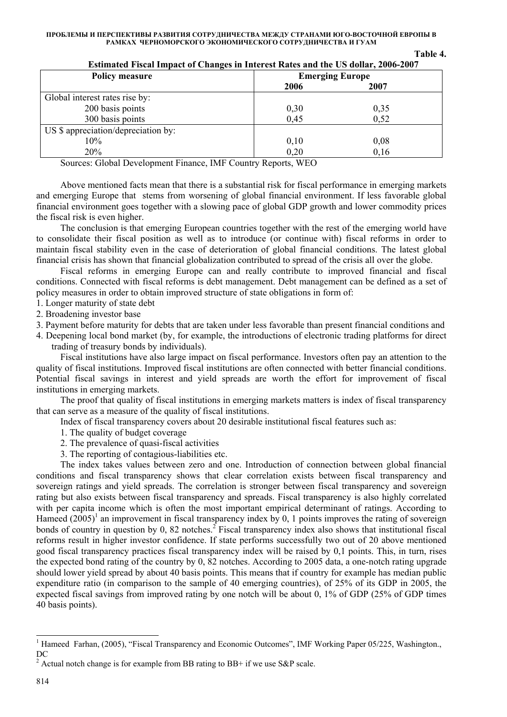| <b>Policy measure</b>               | <b>Emerging Europe</b> |      |  |
|-------------------------------------|------------------------|------|--|
|                                     | 2006                   | 2007 |  |
| Global interest rates rise by:      |                        |      |  |
| 200 basis points                    | 0,30                   | 0,35 |  |
| 300 basis points                    | 0,45                   | 0,52 |  |
| US \$ appreciation/depreciation by: |                        |      |  |
| 10%                                 | 0,10                   | 0,08 |  |
| 20%                                 | 0,20                   | 0,16 |  |

# **Estimated Fiscal Impact of Changes in Interest Rates and the US dollar, 2006-2007**

**Table 4.** 

Sources: Global Development Finance, IMF Country Reports, WEO

Above mentioned facts mean that there is a substantial risk for fiscal performance in emerging markets and emerging Europe that stems from worsening of global financial environment. If less favorable global financial environment goes together with a slowing pace of global GDP growth and lower commodity prices the fiscal risk is even higher.

The conclusion is that emerging European countries together with the rest of the emerging world have to consolidate their fiscal position as well as to introduce (or continue with) fiscal reforms in order to maintain fiscal stability even in the case of deterioration of global financial conditions. The latest global financial crisis has shown that financial globalization contributed to spread of the crisis all over the globe.

Fiscal reforms in emerging Europe can and really contribute to improved financial and fiscal conditions. Connected with fiscal reforms is debt management. Debt management can be defined as a set of policy measures in order to obtain improved structure of state obligations in form of:

1. Longer maturity of state debt

2. Broadening investor base

3. Payment before maturity for debts that are taken under less favorable than present financial conditions and

4. Deepening local bond market (by, for example, the introductions of electronic trading platforms for direct trading of treasury bonds by individuals).

Fiscal institutions have also large impact on fiscal performance. Investors often pay an attention to the quality of fiscal institutions. Improved fiscal institutions are often connected with better financial conditions. Potential fiscal savings in interest and yield spreads are worth the effort for improvement of fiscal institutions in emerging markets.

The proof that quality of fiscal institutions in emerging markets matters is index of fiscal transparency that can serve as a measure of the quality of fiscal institutions.

Index of fiscal transparency covers about 20 desirable institutional fiscal features such as:

1. The quality of budget coverage

2. The prevalence of quasi-fiscal activities

3. The reporting of contagious-liabilities etc.

The index takes values between zero and one. Introduction of connection between global financial conditions and fiscal transparency shows that clear correlation exists between fiscal transparency and sovereign ratings and yield spreads. The correlation is stronger between fiscal transparency and sovereign rating but also exists between fiscal transparency and spreads. Fiscal transparency is also highly correlated with per capita income which is often the most important empirical determinant of ratings. According to Hameed  $(2005)^1$  an improvement in fiscal transparency index by 0, 1 points improves the rating of sovereign bonds of country in question by 0, 82 notches.<sup>2</sup> Fiscal transparency index also shows that institutional fiscal reforms result in higher investor confidence. If state performs successfully two out of 20 above mentioned good fiscal transparency practices fiscal transparency index will be raised by 0,1 points. This, in turn, rises the expected bond rating of the country by 0, 82 notches. According to 2005 data, a one-notch rating upgrade should lower yield spread by about 40 basis points. This means that if country for example has median public expenditure ratio (in comparison to the sample of 40 emerging countries), of 25% of its GDP in 2005, the expected fiscal savings from improved rating by one notch will be about 0, 1% of GDP (25% of GDP times 40 basis points).

<sup>&</sup>lt;sup>1</sup> Hameed Farhan, (2005), "Fiscal Transparency and Economic Outcomes", IMF Working Paper 05/225, Washington., DC

<sup>&</sup>lt;sup>2</sup> Actual notch change is for example from BB rating to BB+ if we use S&P scale.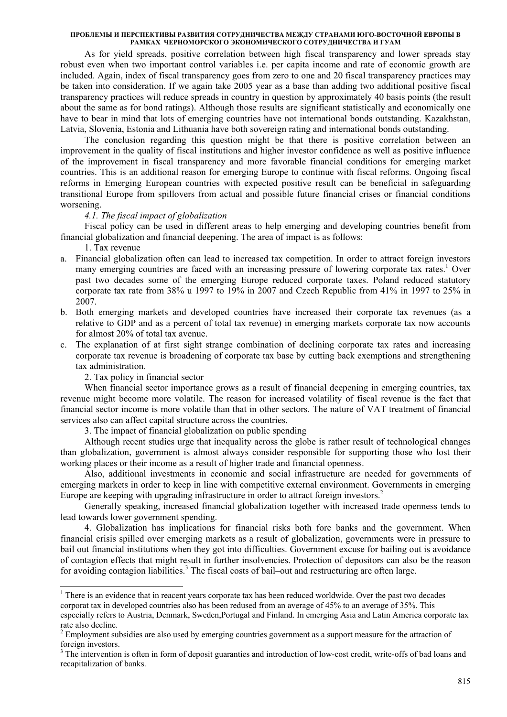As for yield spreads, positive correlation between high fiscal transparency and lower spreads stay robust even when two important control variables i.e. per capita income and rate of economic growth are included. Again, index of fiscal transparency goes from zero to one and 20 fiscal transparency practices may be taken into consideration. If we again take 2005 year as a base than adding two additional positive fiscal transparency practices will reduce spreads in country in question by approximately 40 basis points (the result about the same as for bond ratings). Although those results are significant statistically and economically one have to bear in mind that lots of emerging countries have not international bonds outstanding. Kazakhstan, Latvia, Slovenia, Estonia and Lithuania have both sovereign rating and international bonds outstanding.

The conclusion regarding this question might be that there is positive correlation between an improvement in the quality of fiscal institutions and higher investor confidence as well as positive influence of the improvement in fiscal transparency and more favorable financial conditions for emerging market countries. This is an additional reason for emerging Europe to continue with fiscal reforms. Ongoing fiscal reforms in Emerging European countries with expected positive result can be beneficial in safeguarding transitional Europe from spillovers from actual and possible future financial crises or financial conditions worsening.

### *4.1. The fiscal impact of globalization*

Fiscal policy can be used in different areas to help emerging and developing countries benefit from financial globalization and financial deepening. The area of impact is as follows:

1. Tax revenue

-

- a. Financial globalization often can lead to increased tax competition. In order to attract foreign investors many emerging countries are faced with an increasing pressure of lowering corporate tax rates.<sup>1</sup> Over past two decades some of the emerging Europe reduced corporate taxes. Poland reduced statutory corporate tax rate from 38% u 1997 to 19% in 2007 and Czech Republic from 41% in 1997 to 25% in 2007.
- b. Both emerging markets and developed countries have increased their corporate tax revenues (as a relative to GDP and as a percent of total tax revenue) in emerging markets corporate tax now accounts for almost 20% of total tax avenue.
- c. The explanation of at first sight strange combination of declining corporate tax rates and increasing corporate tax revenue is broadening of corporate tax base by cutting back exemptions and strengthening tax administration.

2. Tax policy in financial sector

When financial sector importance grows as a result of financial deepening in emerging countries, tax revenue might become more volatile. The reason for increased volatility of fiscal revenue is the fact that financial sector income is more volatile than that in other sectors. The nature of VAT treatment of financial services also can affect capital structure across the countries.

3. The impact of financial globalization on public spending

Although recent studies urge that inequality across the globe is rather result of technological changes than globalization, government is almost always consider responsible for supporting those who lost their working places or their income as a result of higher trade and financial openness.

Also, additional investments in economic and social infrastructure are needed for governments of emerging markets in order to keep in line with competitive external environment. Governments in emerging Europe are keeping with upgrading infrastructure in order to attract foreign investors.<sup>2</sup>

Generally speaking, increased financial globalization together with increased trade openness tends to lead towards lower government spending.

4. Globalization has implications for financial risks both fore banks and the government. When financial crisis spilled over emerging markets as a result of globalization, governments were in pressure to bail out financial institutions when they got into difficulties. Government excuse for bailing out is avoidance of contagion effects that might result in further insolvencies. Protection of depositors can also be the reason for avoiding contagion liabilities.<sup>3</sup> The fiscal costs of bail-out and restructuring are often large.

<sup>&</sup>lt;sup>1</sup> There is an evidence that in reacent years corporate tax has been reduced worldwide. Over the past two decades corporat tax in developed countries also has been redused from an average of 45% to an average of 35%. This especially refers to Austria, Denmark, Sweden,Portugal and Finland. In emerging Asia and Latin America corporate tax rate also decline.

 $2<sup>2</sup>$  Employment subsidies are also used by emerging countries government as a support measure for the attraction of foreign investors.

<sup>&</sup>lt;sup>3</sup> The intervention is often in form of deposit guaranties and introduction of low-cost credit, write-offs of bad loans and recapitalization of banks.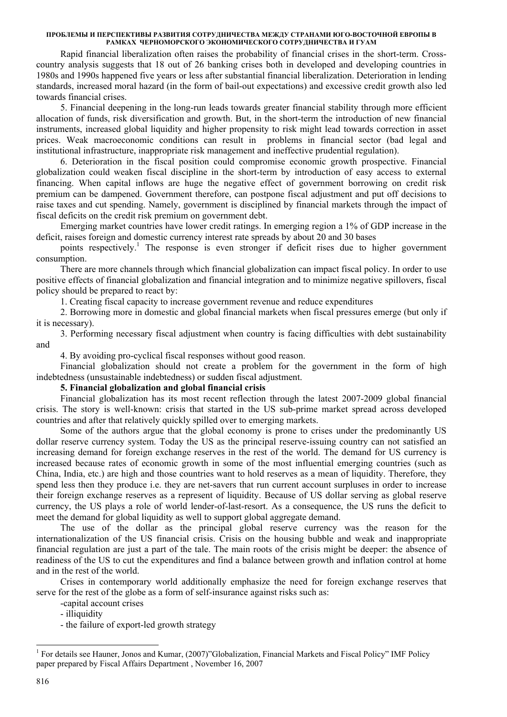Rapid financial liberalization often raises the probability of financial crises in the short-term. Crosscountry analysis suggests that 18 out of 26 banking crises both in developed and developing countries in 1980s and 1990s happened five years or less after substantial financial liberalization. Deterioration in lending standards, increased moral hazard (in the form of bail-out expectations) and excessive credit growth also led towards financial crises.

5. Financial deepening in the long-run leads towards greater financial stability through more efficient allocation of funds, risk diversification and growth. But, in the short-term the introduction of new financial instruments, increased global liquidity and higher propensity to risk might lead towards correction in asset prices. Weak macroeconomic conditions can result in problems in financial sector (bad legal and institutional infrastructure, inappropriate risk management and ineffective prudential regulation).

6. Deterioration in the fiscal position could compromise economic growth prospective. Financial globalization could weaken fiscal discipline in the short-term by introduction of easy access to external financing. When capital inflows are huge the negative effect of government borrowing on credit risk premium can be dampened. Government therefore, can postpone fiscal adjustment and put off decisions to raise taxes and cut spending. Namely, government is disciplined by financial markets through the impact of fiscal deficits on the credit risk premium on government debt.

Emerging market countries have lower credit ratings. In emerging region a 1% of GDP increase in the deficit, raises foreign and domestic currency interest rate spreads by about 20 and 30 bases

points respectively.<sup>1</sup> The response is even stronger if deficit rises due to higher government consumption.

There are more channels through which financial globalization can impact fiscal policy. In order to use positive effects of financial globalization and financial integration and to minimize negative spillovers, fiscal policy should be prepared to react by:

1. Creating fiscal capacity to increase government revenue and reduce expenditures

2. Borrowing more in domestic and global financial markets when fiscal pressures emerge (but only if it is necessary).

3. Performing necessary fiscal adjustment when country is facing difficulties with debt sustainability and

4. By avoiding pro-cyclical fiscal responses without good reason.

Financial globalization should not create a problem for the government in the form of high indebtedness (unsustainable indebtedness) or sudden fiscal adjustment.

# **5. Financial globalization and global financial crisis**

Financial globalization has its most recent reflection through the latest 2007-2009 global financial crisis. The story is well-known: crisis that started in the US sub-prime market spread across developed countries and after that relatively quickly spilled over to emerging markets.

Some of the authors argue that the global economy is prone to crises under the predominantly US dollar reserve currency system. Today the US as the principal reserve-issuing country can not satisfied an increasing demand for foreign exchange reserves in the rest of the world. The demand for US currency is increased because rates of economic growth in some of the most influential emerging countries (such as China, India, etc.) are high and those countries want to hold reserves as a mean of liquidity. Therefore, they spend less then they produce i.e. they are net-savers that run current account surpluses in order to increase their foreign exchange reserves as a represent of liquidity. Because of US dollar serving as global reserve currency, the US plays a role of world lender-of-last-resort. As a consequence, the US runs the deficit to meet the demand for global liquidity as well to support global aggregate demand.

The use of the dollar as the principal global reserve currency was the reason for the internationalization of the US financial crisis. Crisis on the housing bubble and weak and inappropriate financial regulation are just a part of the tale. The main roots of the crisis might be deeper: the absence of readiness of the US to cut the expenditures and find a balance between growth and inflation control at home and in the rest of the world.

Crises in contemporary world additionally emphasize the need for foreign exchange reserves that serve for the rest of the globe as a form of self-insurance against risks such as:

-capital account crises

- illiquidity
- the failure of export-led growth strategy

<sup>&</sup>lt;sup>1</sup> For details see Hauner, Jonos and Kumar, (2007)"Globalization, Financial Markets and Fiscal Policy" IMF Policy paper prepared by Fiscal Affairs Department , November 16, 2007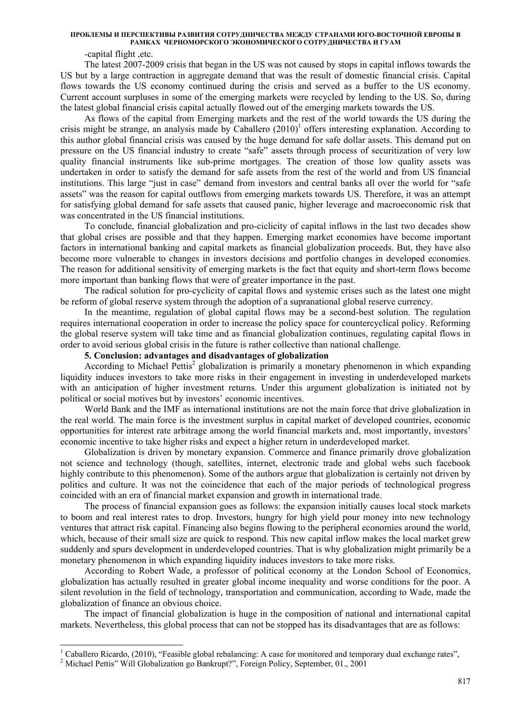-capital flight ,etc.

The latest 2007-2009 crisis that began in the US was not caused by stops in capital inflows towards the US but by a large contraction in aggregate demand that was the result of domestic financial crisis. Capital flows towards the US economy continued during the crisis and served as a buffer to the US economy. Current account surpluses in some of the emerging markets were recycled by lending to the US. So, during the latest global financial crisis capital actually flowed out of the emerging markets towards the US.

As flows of the capital from Emerging markets and the rest of the world towards the US during the crisis might be strange, an analysis made by Caballero  $(2010)^1$  offers interesting explanation. According to this author global financial crisis was caused by the huge demand for safe dollar assets. This demand put on pressure on the US financial industry to create "safe" assets through process of securitization of very low quality financial instruments like sub-prime mortgages. The creation of those low quality assets was undertaken in order to satisfy the demand for safe assets from the rest of the world and from US financial institutions. This large "just in case" demand from investors and central banks all over the world for "safe assets" was the reason for capital outflows from emerging markets towards US. Therefore, it was an attempt for satisfying global demand for safe assets that caused panic, higher leverage and macroeconomic risk that was concentrated in the US financial institutions.

To conclude, financial globalization and pro-ciclicity of capital inflows in the last two decades show that global crises are possible and that they happen. Emerging market economies have become important factors in international banking and capital markets as financial globalization proceeds. But, they have also become more vulnerable to changes in investors decisions and portfolio changes in developed economies. The reason for additional sensitivity of emerging markets is the fact that equity and short-term flows become more important than banking flows that were of greater importance in the past.

The radical solution for pro-cyclicity of capital flows and systemic crises such as the latest one might be reform of global reserve system through the adoption of a supranational global reserve currency.

In the meantime, regulation of global capital flows may be a second-best solution. The regulation requires international cooperation in order to increase the policy space for countercyclical policy. Reforming the global reserve system will take time and as financial globalization continues, regulating capital flows in order to avoid serious global crisis in the future is rather collective than national challenge.

### **5. Conclusion: advantages and disadvantages of globalization**

According to Michael Pettis<sup>2</sup> globalization is primarily a monetary phenomenon in which expanding liquidity induces investors to take more risks in their engagement in investing in underdeveloped markets with an anticipation of higher investment returns. Under this argument globalization is initiated not by political or social motives but by investors' economic incentives.

World Bank and the IMF as international institutions are not the main force that drive globalization in the real world. The main force is the investment surplus in capital market of developed countries, economic opportunities for interest rate arbitrage among the world financial markets and, most importantly, investors' economic incentive to take higher risks and expect a higher return in underdeveloped market.

Globalization is driven by monetary expansion. Commerce and finance primarily drove globalization not science and technology (though, satellites, internet, electronic trade and global webs such facebook highly contribute to this phenomenon). Some of the authors argue that globalization is certainly not driven by politics and culture. It was not the coincidence that each of the major periods of technological progress coincided with an era of financial market expansion and growth in international trade.

The process of financial expansion goes as follows: the expansion initially causes local stock markets to boom and real interest rates to drop. Investors, hungry for high yield pour money into new technology ventures that attract risk capital. Financing also begins flowing to the peripheral economies around the world, which, because of their small size are quick to respond. This new capital inflow makes the local market grew suddenly and spurs development in underdeveloped countries. That is why globalization might primarily be a monetary phenomenon in which expanding liquidity induces investors to take more risks.

According to Robert Wade, a professor of political economy at the London School of Economics, globalization has actually resulted in greater global income inequality and worse conditions for the poor. A silent revolution in the field of technology, transportation and communication, according to Wade, made the globalization of finance an obvious choice.

The impact of financial globalization is huge in the composition of national and international capital markets. Nevertheless, this global process that can not be stopped has its disadvantages that are as follows:

-

<sup>&</sup>lt;sup>1</sup> Caballero Ricardo, (2010), "Feasible global rebalancing: A case for monitored and temporary dual exchange rates",  $\frac{2 \text{ Michael Dottor}}{2}$  Michael Bettis" Will Clobalization so Benkrupt?" Essaism Believ, September 01, 2001

<sup>&</sup>lt;sup>2</sup> Michael Pettis" Will Globalization go Bankrupt?", Foreign Policy, September, 01., 2001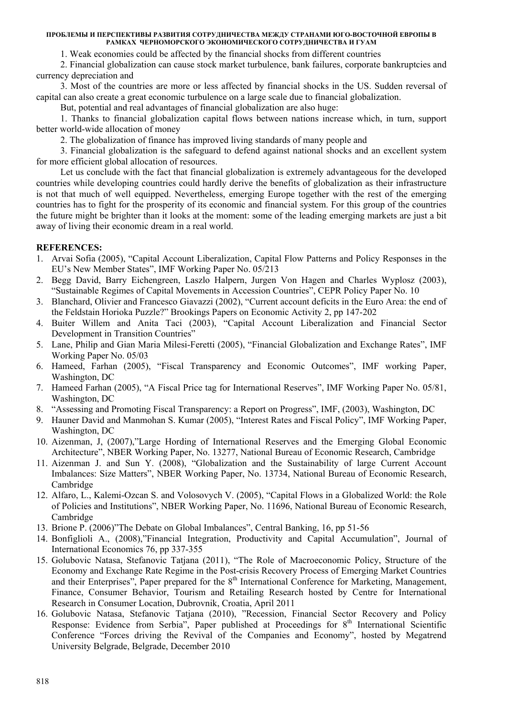1. Weak economies could be affected by the financial shocks from different countries

2. Financial globalization can cause stock market turbulence, bank failures, corporate bankruptcies and currency depreciation and

3. Most of the countries are more or less affected by financial shocks in the US. Sudden reversal of capital can also create a great economic turbulence on a large scale due to financial globalization.

But, potential and real advantages of financial globalization are also huge:

1. Thanks to financial globalization capital flows between nations increase which, in turn, support better world-wide allocation of money

2. The globalization of finance has improved living standards of many people and

3. Financial globalization is the safeguard to defend against national shocks and an excellent system for more efficient global allocation of resources.

Let us conclude with the fact that financial globalization is extremely advantageous for the developed countries while developing countries could hardly derive the benefits of globalization as their infrastructure is not that much of well equipped. Nevertheless, emerging Europe together with the rest of the emerging countries has to fight for the prosperity of its economic and financial system. For this group of the countries the future might be brighter than it looks at the moment: some of the leading emerging markets are just a bit away of living their economic dream in a real world.

# **REFERENCES:**

- 1. Arvai Sofia (2005), "Capital Account Liberalization, Capital Flow Patterns and Policy Responses in the EU's New Member States", IMF Working Paper No. 05/213
- 2. Begg David, Barry Eichengreen, Laszlo Halpern, Jurgen Von Hagen and Charles Wyplosz (2003), "Sustainable Regimes of Capital Movements in Accession Countries", CEPR Policy Paper No. 10
- 3. Blanchard, Olivier and Francesco Giavazzi (2002), "Current account deficits in the Euro Area: the end of the Feldstain Horioka Puzzle?" Brookings Papers on Economic Activity 2, pp 147-202
- 4. Buiter Willem and Anita Taci (2003), "Capital Account Liberalization and Financial Sector Development in Transition Countries"
- 5. Lane, Philip and Gian Maria Milesi-Feretti (2005), "Financial Globalization and Exchange Rates", IMF Working Paper No. 05/03
- 6. Hameed, Farhan (2005), "Fiscal Transparency and Economic Outcomes", IMF working Paper, Washington, DC
- 7. Hameed Farhan (2005), "A Fiscal Price tag for International Reserves", IMF Working Paper No. 05/81, Washington, DC
- 8. "Assessing and Promoting Fiscal Transparency: a Report on Progress", IMF, (2003), Washington, DC
- 9. Hauner David and Manmohan S. Kumar (2005), "Interest Rates and Fiscal Policy", IMF Working Paper, Washington, DC
- 10. Aizenman, J, (2007),"Large Hording of International Reserves and the Emerging Global Economic Architecture", NBER Working Paper, No. 13277, National Bureau of Economic Research, Cambridge
- 11. Aizenman J. and Sun Y. (2008), "Globalization and the Sustainability of large Current Account Imbalances: Size Matters", NBER Working Paper, No. 13734, National Bureau of Economic Research, Cambridge
- 12. Alfaro, L., Kalemi-Ozcan S. and Volosovych V. (2005), "Capital Flows in a Globalized World: the Role of Policies and Institutions", NBER Working Paper, No. 11696, National Bureau of Economic Research, Cambridge
- 13. Brione P. (2006)"The Debate on Global Imbalances", Central Banking, 16, pp 51-56
- 14. Bonfiglioli A., (2008),"Financial Integration, Productivity and Capital Accumulation", Journal of International Economics 76, pp 337-355
- 15. Golubovic Natasa, Stefanovic Tatjana (2011), "The Role of Macroeconomic Policy, Structure of the Economy and Exchange Rate Regime in the Post-crisis Recovery Process of Emerging Market Countries and their Enterprises", Paper prepared for the 8<sup>th</sup> International Conference for Marketing, Management, Finance, Consumer Behavior, Tourism and Retailing Research hosted by Centre for International Research in Consumer Location, Dubrovnik, Croatia, April 2011
- 16. Golubovic Natasa, Stefanovic Tatjana (2010), "Recession, Financial Sector Recovery and Policy Response: Evidence from Serbia", Paper published at Proceedings for  $8<sup>th</sup>$  International Scientific Conference "Forces driving the Revival of the Companies and Economy", hosted by Megatrend University Belgrade, Belgrade, December 2010